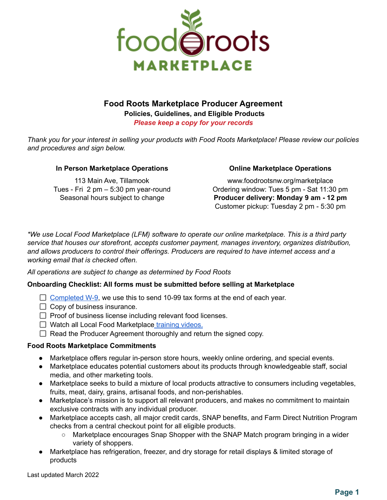

# **Food Roots Marketplace Producer Agreement**

**Policies, Guidelines, and Eligible Products** *Please keep a copy for your records*

Thank you for your interest in selling your products with Food Roots Marketplace! Please review our policies *and procedures and sign below.*

### **In Person Marketplace Operations**

113 Main Ave, Tillamook Tues - Fri 2 pm – 5:30 pm year-round Seasonal hours subject to change

### **Online Marketplace Operations**

www.foodrootsnw.org/marketplace Ordering window: Tues 5 pm - Sat 11:30 pm **Producer delivery: Monday 9 am - 12 pm** Customer pickup: Tuesday 2 pm - 5:30 pm

*\*We use Local Food Marketplace (LFM) software to operate our online marketplace. This is a third party service that houses our storefront, accepts customer payment, manages inventory, organizes distribution, and allows producers to control their offerings. Producers are required to have internet access and a working email that is checked often.*

### *All operations are subject to change as determined by Food Roots*

### **Onboarding Checklist: All forms must be submitted before selling at Marketplace**

- $\Box$  [Completed](https://www.depauw.edu/files/resources/w-9-form-blank-5.pdf) W-9, we use this to send 10-99 tax forms at the end of each year.
- $\Box$  Copy of business insurance.
- $\Box$  Proof of business license including relevant food licenses.
- $\Box$  Watch all Local Food Marketplace [training](https://www.youtube.com/playlist?list=PLMiQ8Y6Zx7AymZ3dtQR1mPX6ZKhY3Yji3) videos.
- $\Box$  Read the Producer Agreement thoroughly and return the signed copy.

### **Food Roots Marketplace Commitments**

- Marketplace offers regular in-person store hours, weekly online ordering, and special events.
- Marketplace educates potential customers about its products through knowledgeable staff, social media, and other marketing tools.
- Marketplace seeks to build a mixture of local products attractive to consumers including vegetables, fruits, meat, dairy, grains, artisanal foods, and non-perishables.
- Marketplace's mission is to support all relevant producers, and makes no commitment to maintain exclusive contracts with any individual producer.
- Marketplace accepts cash, all major credit cards, SNAP benefits, and Farm Direct Nutrition Program checks from a central checkout point for all eligible products.
	- Marketplace encourages Snap Shopper with the SNAP Match program bringing in a wider variety of shoppers.
- Marketplace has refrigeration, freezer, and dry storage for retail displays & limited storage of products

Last updated March 2022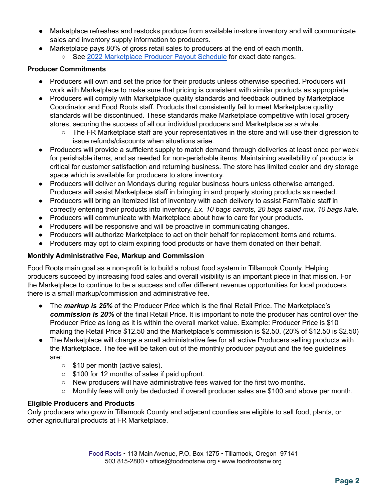- Marketplace refreshes and restocks produce from available in-store inventory and will communicate sales and inventory supply information to producers.
- Marketplace pays 80% of gross retail sales to producers at the end of each month.
	- See 2022 [Marketplace](https://docs.google.com/document/u/0/d/1jRKBZo-BQNPk03yEXf6jfEhfbNIUA2tCh_ShAM6-iIQ/edit) Producer Payout Schedule for exact date ranges.

### **Producer Commitments**

- Producers will own and set the price for their products unless otherwise specified. Producers will work with Marketplace to make sure that pricing is consistent with similar products as appropriate.
- Producers will comply with Marketplace quality standards and feedback outlined by Marketplace Coordinator and Food Roots staff. Products that consistently fail to meet Marketplace quality standards will be discontinued. These standards make Marketplace competitive with local grocery stores, securing the success of all our individual producers and Marketplace as a whole.
	- The FR Marketplace staff are your representatives in the store and will use their digression to issue refunds/discounts when situations arise.
- Producers will provide a sufficient supply to match demand through deliveries at least once per week for perishable items, and as needed for non-perishable items. Maintaining availability of products is critical for customer satisfaction and returning business. The store has limited cooler and dry storage space which is available for producers to store inventory.
- Producers will deliver on Mondays during regular business hours unless otherwise arranged. Producers will assist Marketplace staff in bringing in and properly storing products as needed.
- Producers will bring an itemized list of inventory with each delivery to assist FarmTable staff in correctly entering their products into inventory. *Ex. 10 bags carrots, 20 bags salad mix, 10 bags kale.*
- Producers will communicate with Marketplace about how to care for your products.
- Producers will be responsive and will be proactive in communicating changes.
- Producers will authorize Marketplace to act on their behalf for replacement items and returns.
- Producers may opt to claim expiring food products or have them donated on their behalf.

# **Monthly Administrative Fee, Markup and Commission**

Food Roots main goal as a non-profit is to build a robust food system in Tillamook County. Helping producers succeed by increasing food sales and overall visibility is an important piece in that mission. For the Marketplace to continue to be a success and offer different revenue opportunities for local producers there is a small markup/commission and administrative fee.

- The *markup is 25%* of the Producer Price which is the final Retail Price. The Marketplace's *commission is 20%* of the final Retail Price. It is important to note the producer has control over the Producer Price as long as it is within the overall market value. Example: Producer Price is \$10 making the Retail Price \$12.50 and the Marketplace's commission is \$2.50. (20% of \$12.50 is \$2.50)
- The Marketplace will charge a small administrative fee for all active Producers selling products with the Marketplace. The fee will be taken out of the monthly producer payout and the fee guidelines are:
	- \$10 per month (active sales).
	- \$100 for 12 months of sales if paid upfront.
	- New producers will have administrative fees waived for the first two months.
	- Monthly fees will only be deducted if overall producer sales are \$100 and above per month.

# **Eligible Producers and Products**

Only producers who grow in Tillamook County and adjacent counties are eligible to sell food, plants, or other agricultural products at FR Marketplace.